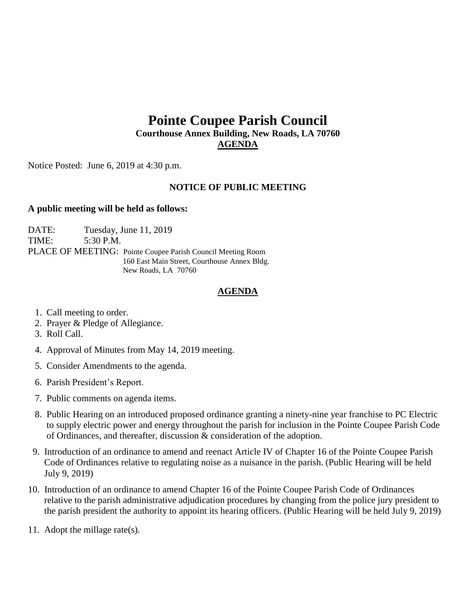# **Pointe Coupee Parish Council Courthouse Annex Building, New Roads, LA 70760 AGENDA**

Notice Posted: June 6, 2019 at 4:30 p.m.

## **NOTICE OF PUBLIC MEETING**

### **A public meeting will be held as follows:**

DATE: Tuesday, June 11, 2019 TIME: 5:30 P.M. PLACE OF MEETING: Pointe Coupee Parish Council Meeting Room 160 East Main Street, Courthouse Annex Bldg. New Roads, LA 70760

## **AGENDA**

- 1. Call meeting to order.
- 2. Prayer & Pledge of Allegiance.
- 3. Roll Call.
- 4. Approval of Minutes from May 14, 2019 meeting.
- 5. Consider Amendments to the agenda.
- 6. Parish President's Report.
- 7. Public comments on agenda items.
- 8. Public Hearing on an introduced proposed ordinance granting a ninety-nine year franchise to PC Electric to supply electric power and energy throughout the parish for inclusion in the Pointe Coupee Parish Code of Ordinances, and thereafter, discussion & consideration of the adoption.
- 9. Introduction of an ordinance to amend and reenact Article IV of Chapter 16 of the Pointe Coupee Parish Code of Ordinances relative to regulating noise as a nuisance in the parish. (Public Hearing will be held July 9, 2019)
- 10. Introduction of an ordinance to amend Chapter 16 of the Pointe Coupee Parish Code of Ordinances relative to the parish administrative adjudication procedures by changing from the police jury president to the parish president the authority to appoint its hearing officers. (Public Hearing will be held July 9, 2019)
- 11. Adopt the millage rate(s).